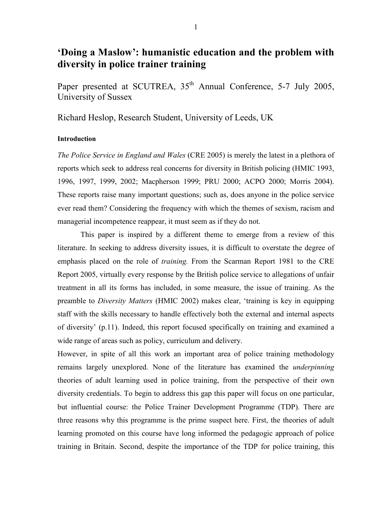# **'Doing a Maslow': humanistic education and the problem with diversity in police trainer training**

Paper presented at SCUTREA, 35<sup>th</sup> Annual Conference, 5-7 July 2005, University of Sussex

Richard Heslop, Research Student, University of Leeds, UK

# **Introduction**

*The Police Service in England and Wales* (CRE 2005) is merely the latest in a plethora of reports which seek to address real concerns for diversity in British policing (HMIC 1993, 1996, 1997, 1999, 2002; Macpherson 1999; PRU 2000; ACPO 2000; Morris 2004). These reports raise many important questions; such as, does anyone in the police service ever read them? Considering the frequency with which the themes of sexism, racism and managerial incompetence reappear, it must seem as if they do not.

This paper is inspired by a different theme to emerge from a review of this literature. In seeking to address diversity issues, it is difficult to overstate the degree of emphasis placed on the role of *training.* From the Scarman Report 1981 to the CRE Report 2005, virtually every response by the British police service to allegations of unfair treatment in all its forms has included, in some measure, the issue of training. As the preamble to *Diversity Matters* (HMIC 2002) makes clear, 'training is key in equipping staff with the skills necessary to handle effectively both the external and internal aspects of diversity' (p.11). Indeed, this report focused specifically on training and examined a wide range of areas such as policy, curriculum and delivery.

However, in spite of all this work an important area of police training methodology remains largely unexplored. None of the literature has examined the *underpinning* theories of adult learning used in police training, from the perspective of their own diversity credentials. To begin to address this gap this paper will focus on one particular, but influential course: the Police Trainer Development Programme (TDP). There are three reasons why this programme is the prime suspect here. First, the theories of adult learning promoted on this course have long informed the pedagogic approach of police training in Britain. Second, despite the importance of the TDP for police training, this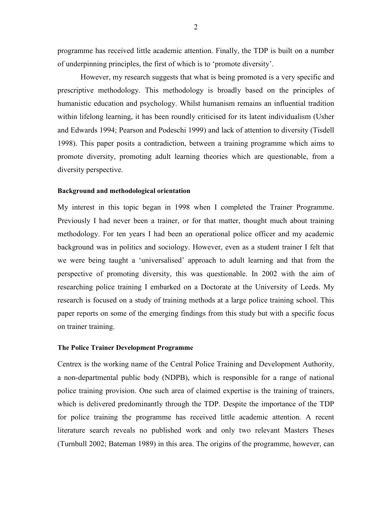programme has received little academic attention. Finally, the TDP is built on a number of underpinning principles, the first of which is to 'promote diversity'.

However, my research suggests that what is being promoted is a very specific and prescriptive methodology. This methodology is broadly based on the principles of humanistic education and psychology. Whilst humanism remains an influential tradition within lifelong learning, it has been roundly criticised for its latent individualism (Usher and Edwards 1994; Pearson and Podeschi 1999) and lack of attention to diversity (Tisdell 1998). This paper posits a contradiction, between a training programme which aims to promote diversity, promoting adult learning theories which are questionable, from a diversity perspective.

## **Background and methodological orientation**

My interest in this topic began in 1998 when I completed the Trainer Programme. Previously I had never been a trainer, or for that matter, thought much about training methodology. For ten years I had been an operational police officer and my academic background was in politics and sociology. However, even as a student trainer I felt that we were being taught a 'universalised' approach to adult learning and that from the perspective of promoting diversity, this was questionable. In 2002 with the aim of researching police training I embarked on a Doctorate at the University of Leeds. My research is focused on a study of training methods at a large police training school. This paper reports on some of the emerging findings from this study but with a specific focus on trainer training.

### **The Police Trainer Development Programme**

Centrex is the working name of the Central Police Training and Development Authority, a non-departmental public body (NDPB), which is responsible for a range of national police training provision. One such area of claimed expertise is the training of trainers, which is delivered predominantly through the TDP. Despite the importance of the TDP for police training the programme has received little academic attention. A recent literature search reveals no published work and only two relevant Masters Theses (Turnbull 2002; Bateman 1989) in this area. The origins of the programme, however, can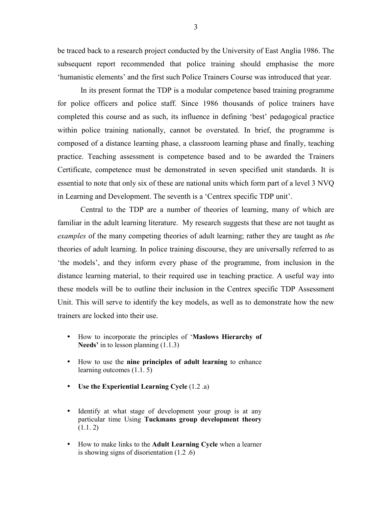be traced back to a research project conducted by the University of East Anglia 1986. The subsequent report recommended that police training should emphasise the more 'humanistic elements' and the first such Police Trainers Course was introduced that year.

In its present format the TDP is a modular competence based training programme for police officers and police staff. Since 1986 thousands of police trainers have completed this course and as such, its influence in defining 'best' pedagogical practice within police training nationally, cannot be overstated. In brief, the programme is composed of a distance learning phase, a classroom learning phase and finally, teaching practice. Teaching assessment is competence based and to be awarded the Trainers Certificate, competence must be demonstrated in seven specified unit standards. It is essential to note that only six of these are national units which form part of a level 3 NVQ in Learning and Development. The seventh is a 'Centrex specific TDP unit'.

Central to the TDP are a number of theories of learning, many of which are familiar in the adult learning literature. My research suggests that these are not taught as *examples* of the many competing theories of adult learning; rather they are taught as *the*  theories of adult learning. In police training discourse, they are universally referred to as 'the models', and they inform every phase of the programme, from inclusion in the distance learning material, to their required use in teaching practice. A useful way into these models will be to outline their inclusion in the Centrex specific TDP Assessment Unit. This will serve to identify the key models, as well as to demonstrate how the new trainers are locked into their use.

- How to incorporate the principles of '**Maslows Hierarchy of Needs'** in to lesson planning (1.1.3)
- How to use the **nine principles of adult learning** to enhance learning outcomes (1.1. 5)
- **Use the Experiential Learning Cycle** (1.2 .a)
- Identify at what stage of development your group is at any particular time Using **Tuckmans group development theory**  $(1.1.2)$
- How to make links to the **Adult Learning Cycle** when a learner is showing signs of disorientation (1.2 .6)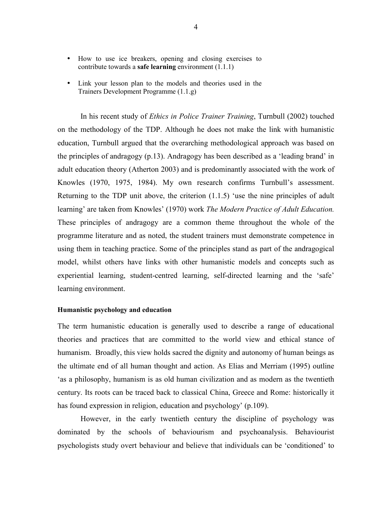- How to use ice breakers, opening and closing exercises to contribute towards a **safe learning** environment (1.1.1)
- Link your lesson plan to the models and theories used in the Trainers Development Programme (1.1.g)

In his recent study of *Ethics in Police Trainer Training*, Turnbull (2002) touched on the methodology of the TDP. Although he does not make the link with humanistic education, Turnbull argued that the overarching methodological approach was based on the principles of andragogy (p.13). Andragogy has been described as a 'leading brand' in adult education theory (Atherton 2003) and is predominantly associated with the work of Knowles (1970, 1975, 1984). My own research confirms Turnbull's assessment. Returning to the TDP unit above, the criterion (1.1.5) 'use the nine principles of adult learning' are taken from Knowles' (1970) work *The Modern Practice of Adult Education.*  These principles of andragogy are a common theme throughout the whole of the programme literature and as noted, the student trainers must demonstrate competence in using them in teaching practice. Some of the principles stand as part of the andragogical model, whilst others have links with other humanistic models and concepts such as experiential learning, student-centred learning, self-directed learning and the 'safe' learning environment.

## **Humanistic psychology and education**

The term humanistic education is generally used to describe a range of educational theories and practices that are committed to the world view and ethical stance of humanism. Broadly, this view holds sacred the dignity and autonomy of human beings as the ultimate end of all human thought and action. As Elias and Merriam (1995) outline 'as a philosophy, humanism is as old human civilization and as modern as the twentieth century. Its roots can be traced back to classical China, Greece and Rome: historically it has found expression in religion, education and psychology' (p.109).

However, in the early twentieth century the discipline of psychology was dominated by the schools of behaviourism and psychoanalysis. Behaviourist psychologists study overt behaviour and believe that individuals can be 'conditioned' to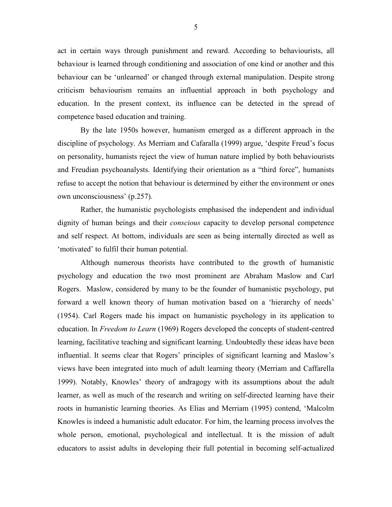act in certain ways through punishment and reward. According to behaviourists, all behaviour is learned through conditioning and association of one kind or another and this behaviour can be 'unlearned' or changed through external manipulation. Despite strong criticism behaviourism remains an influential approach in both psychology and education. In the present context, its influence can be detected in the spread of competence based education and training.

By the late 1950s however, humanism emerged as a different approach in the discipline of psychology. As Merriam and Cafaralla (1999) argue, 'despite Freud's focus on personality, humanists reject the view of human nature implied by both behaviourists and Freudian psychoanalysts. Identifying their orientation as a "third force", humanists refuse to accept the notion that behaviour is determined by either the environment or ones own unconsciousness' (p.257).

Rather, the humanistic psychologists emphasised the independent and individual dignity of human beings and their *conscious* capacity to develop personal competence and self respect. At bottom, individuals are seen as being internally directed as well as 'motivated' to fulfil their human potential.

Although numerous theorists have contributed to the growth of humanistic psychology and education the two most prominent are Abraham Maslow and Carl Rogers. Maslow, considered by many to be the founder of humanistic psychology, put forward a well known theory of human motivation based on a 'hierarchy of needs' (1954). Carl Rogers made his impact on humanistic psychology in its application to education. In *Freedom to Learn* (1969) Rogers developed the concepts of student-centred learning, facilitative teaching and significant learning. Undoubtedly these ideas have been influential. It seems clear that Rogers' principles of significant learning and Maslow's views have been integrated into much of adult learning theory (Merriam and Caffarella 1999). Notably, Knowles' theory of andragogy with its assumptions about the adult learner, as well as much of the research and writing on self-directed learning have their roots in humanistic learning theories. As Elias and Merriam (1995) contend, 'Malcolm Knowles is indeed a humanistic adult educator. For him, the learning process involves the whole person, emotional, psychological and intellectual. It is the mission of adult educators to assist adults in developing their full potential in becoming self-actualized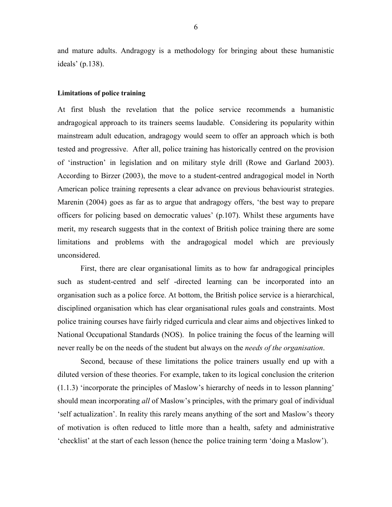and mature adults. Andragogy is a methodology for bringing about these humanistic ideals' (p.138).

## **Limitations of police training**

At first blush the revelation that the police service recommends a humanistic andragogical approach to its trainers seems laudable. Considering its popularity within mainstream adult education, andragogy would seem to offer an approach which is both tested and progressive. After all, police training has historically centred on the provision of 'instruction' in legislation and on military style drill (Rowe and Garland 2003). According to Birzer (2003), the move to a student-centred andragogical model in North American police training represents a clear advance on previous behaviourist strategies. Marenin (2004) goes as far as to argue that andragogy offers, 'the best way to prepare officers for policing based on democratic values' (p.107). Whilst these arguments have merit, my research suggests that in the context of British police training there are some limitations and problems with the andragogical model which are previously unconsidered.

First, there are clear organisational limits as to how far andragogical principles such as student-centred and self -directed learning can be incorporated into an organisation such as a police force. At bottom, the British police service is a hierarchical, disciplined organisation which has clear organisational rules goals and constraints. Most police training courses have fairly ridged curricula and clear aims and objectives linked to National Occupational Standards (NOS). In police training the focus of the learning will never really be on the needs of the student but always on the *needs of the organisation*.

Second, because of these limitations the police trainers usually end up with a diluted version of these theories. For example, taken to its logical conclusion the criterion (1.1.3) 'incorporate the principles of Maslow's hierarchy of needs in to lesson planning' should mean incorporating *all* of Maslow's principles, with the primary goal of individual 'self actualization'. In reality this rarely means anything of the sort and Maslow's theory of motivation is often reduced to little more than a health, safety and administrative 'checklist' at the start of each lesson (hence the police training term 'doing a Maslow').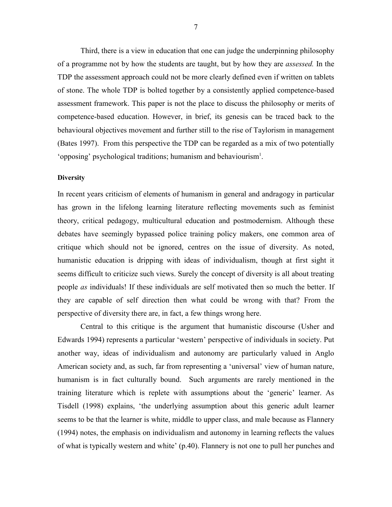Third, there is a view in education that one can judge the underpinning philosophy of a programme not by how the students are taught, but by how they are *assessed.* In the TDP the assessment approach could not be more clearly defined even if written on tablets of stone. The whole TDP is bolted together by a consistently applied competence-based assessment framework. This paper is not the place to discuss the philosophy or merits of competence-based education. However, in brief, its genesis can be traced back to the behavioural objectives movement and further still to the rise of Taylorism in management (Bates 1997). From this perspective the TDP can be regarded as a mix of two potentially 'opposing' psychological traditions; humanism and behaviourism<sup>1</sup>.

### **Diversity**

In recent years criticism of elements of humanism in general and andragogy in particular has grown in the lifelong learning literature reflecting movements such as feminist theory, critical pedagogy, multicultural education and postmodernism. Although these debates have seemingly bypassed police training policy makers, one common area of critique which should not be ignored, centres on the issue of diversity. As noted, humanistic education is dripping with ideas of individualism, though at first sight it seems difficult to criticize such views. Surely the concept of diversity is all about treating people *as* individuals! If these individuals are self motivated then so much the better. If they are capable of self direction then what could be wrong with that? From the perspective of diversity there are, in fact, a few things wrong here.

Central to this critique is the argument that humanistic discourse (Usher and Edwards 1994) represents a particular 'western' perspective of individuals in society. Put another way, ideas of individualism and autonomy are particularly valued in Anglo American society and, as such, far from representing a 'universal' view of human nature, humanism is in fact culturally bound. Such arguments are rarely mentioned in the training literature which is replete with assumptions about the 'generic' learner. As Tisdell (1998) explains, 'the underlying assumption about this generic adult learner seems to be that the learner is white, middle to upper class, and male because as Flannery (1994) notes, the emphasis on individualism and autonomy in learning reflects the values of what is typically western and white' (p.40). Flannery is not one to pull her punches and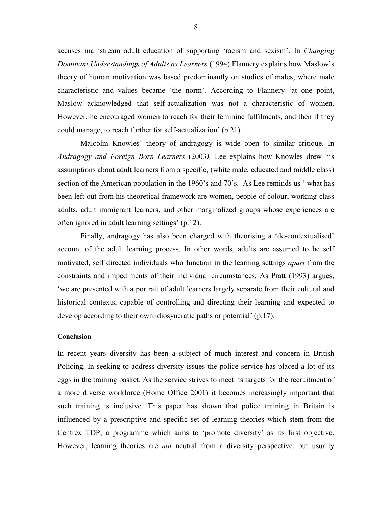accuses mainstream adult education of supporting 'racism and sexism'. In *Changing Dominant Understandings of Adults as Learners* (1994) Flannery explains how Maslow's theory of human motivation was based predominantly on studies of males; where male characteristic and values became 'the norm'. According to Flannery 'at one point, Maslow acknowledged that self-actualization was not a characteristic of women. However, he encouraged women to reach for their feminine fulfilments, and then if they could manage, to reach further for self-actualization' (p.21).

Malcolm Knowles' theory of andragogy is wide open to similar critique. In *Andragogy and Foreign Born Learners* (2003*),* Lee explains how Knowles drew his assumptions about adult learners from a specific, (white male, educated and middle class) section of the American population in the 1960's and 70's. As Lee reminds us ' what has been left out from his theoretical framework are women, people of colour, working-class adults, adult immigrant learners, and other marginalized groups whose experiences are often ignored in adult learning settings' (p.12).

Finally, andragogy has also been charged with theorising a 'de-contextualised' account of the adult learning process. In other words, adults are assumed to be self motivated, self directed individuals who function in the learning settings *apart* from the constraints and impediments of their individual circumstances. As Pratt (1993) argues, 'we are presented with a portrait of adult learners largely separate from their cultural and historical contexts, capable of controlling and directing their learning and expected to develop according to their own idiosyncratic paths or potential' (p.17).

#### **Conclusion**

In recent years diversity has been a subject of much interest and concern in British Policing. In seeking to address diversity issues the police service has placed a lot of its eggs in the training basket. As the service strives to meet its targets for the recruitment of a more diverse workforce (Home Office 2001) it becomes increasingly important that such training is inclusive. This paper has shown that police training in Britain is influenced by a prescriptive and specific set of learning theories which stem from the Centrex TDP; a programme which aims to 'promote diversity' as its first objective. However, learning theories are *not* neutral from a diversity perspective, but usually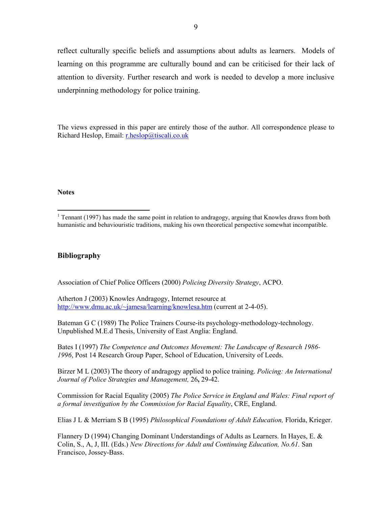reflect culturally specific beliefs and assumptions about adults as learners. Models of learning on this programme are culturally bound and can be criticised for their lack of attention to diversity. Further research and work is needed to develop a more inclusive underpinning methodology for police training.

The views expressed in this paper are entirely those of the author. All correspondence please to Richard Heslop, Email: r.heslop@tiscali.co.uk

#### **Notes**

## **Bibliography**

Association of Chief Police Officers (2000) *Policing Diversity Strategy*, ACPO.

Atherton J (2003) Knowles Andragogy, Internet resource at http://www.dmu.ac.uk/~jamesa/learning/knowlesa.htm (current at 2-4-05).

Bateman G C (1989) The Police Trainers Course-its psychology-methodology-technology. Unpublished M.E.d Thesis, University of East Anglia: England.

Bates I (1997) *The Competence and Outcomes Movement: The Landscape of Research 1986- 1996*, Post 14 Research Group Paper, School of Education, University of Leeds.

Birzer M L (2003) The theory of andragogy applied to police training. *Policing: An International Journal of Police Strategies and Management,* 26**,** 29-42.

Commission for Racial Equality (2005) *The Police Service in England and Wales: Final report of a formal investigation by the Commission for Racial Equality*, CRE, England.

Elias J L & Merriam S B (1995) *Philosophical Foundations of Adult Education,* Florida, Krieger.

Flannery D (1994) Changing Dominant Understandings of Adults as Learners. In Hayes, E.  $\&$ Colin, S., A, J, III. (Eds.) *New Directions for Adult and Continuing Education, No.61.* San Francisco, Jossey-Bass.

<sup>&</sup>lt;sup>1</sup> Tennant (1997) has made the same point in relation to andragogy, arguing that Knowles draws from both humanistic and behaviouristic traditions, making his own theoretical perspective somewhat incompatible.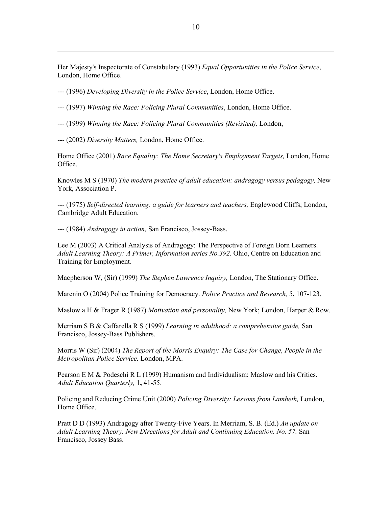Her Majesty's Inspectorate of Constabulary (1993) *Equal Opportunities in the Police Service*, London, Home Office.

--- (1996) *Developing Diversity in the Police Service*, London, Home Office.

--- (1997) *Winning the Race: Policing Plural Communities*, London, Home Office.

--- (1999) *Winning the Race: Policing Plural Communities (Revisited),* London,

--- (2002) *Diversity Matters,* London, Home Office.

Home Office (2001) *Race Equality: The Home Secretary's Employment Targets,* London, Home Office.

Knowles M S (1970) *The modern practice of adult education: andragogy versus pedagogy,* New York, Association P.

--- (1975) *Self-directed learning: a guide for learners and teachers,* Englewood Cliffs; London, Cambridge Adult Education.

--- (1984) *Andragogy in action,* San Francisco, Jossey-Bass.

Lee M (2003) A Critical Analysis of Andragogy: The Perspective of Foreign Born Learners. *Adult Learning Theory: A Primer, Information series No.392.* Ohio, Centre on Education and Training for Employment.

Macpherson W, (Sir) (1999) *The Stephen Lawrence Inquiry,* London, The Stationary Office.

Marenin O (2004) Police Training for Democracy. *Police Practice and Research,* 5**,** 107-123.

Maslow a H & Frager R (1987) *Motivation and personality,* New York; London, Harper & Row.

Merriam S B & Caffarella R S (1999) *Learning in adulthood: a comprehensive guide,* San Francisco, Jossey-Bass Publishers.

Morris W (Sir) (2004) *The Report of the Morris Enquiry: The Case for Change, People in the Metropolitan Police Service,* London, MPA.

Pearson E M & Podeschi R L (1999) Humanism and Individualism: Maslow and his Critics. *Adult Education Quarterly,* 1**,** 41-55.

Policing and Reducing Crime Unit (2000) *Policing Diversity: Lessons from Lambeth,* London, Home Office.

Pratt D D (1993) Andragogy after Twenty-Five Years. In Merriam, S. B. (Ed.) *An update on*  Adult Learning Theory. New Directions for Adult and Continuing Education. No. 57. San Francisco, Jossey Bass.